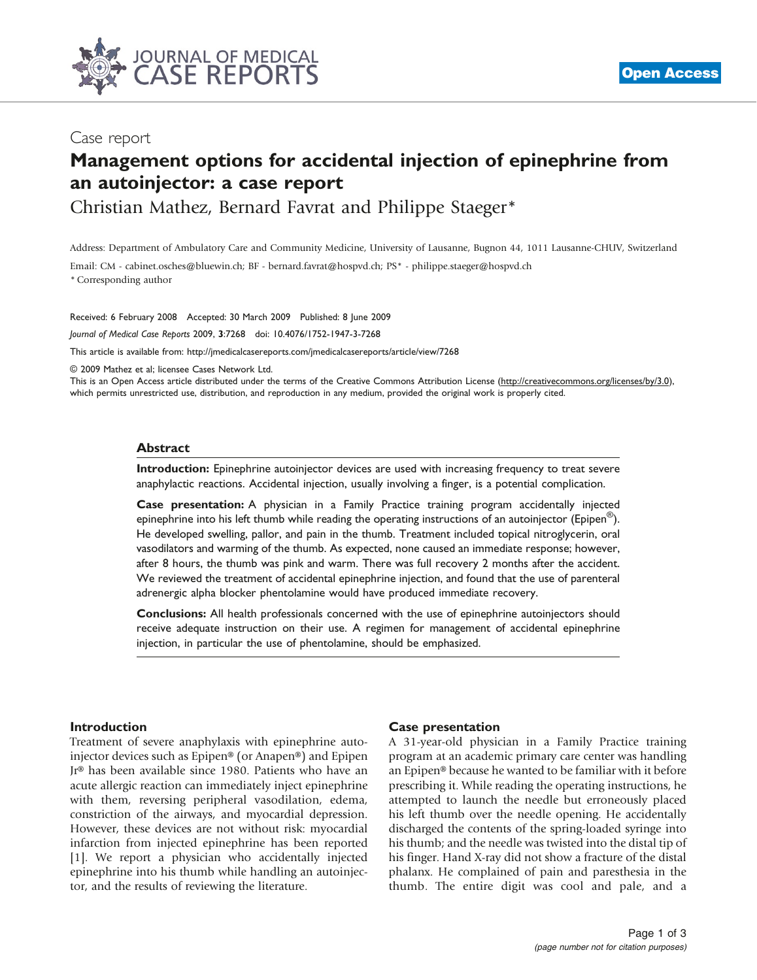

## Case report

# Management options for accidental injection of epinephrine from an autoinjector: a case report

Christian Mathez, Bernard Favrat and Philippe Staeger\*

Address: Department of Ambulatory Care and Community Medicine, University of Lausanne, Bugnon 44, 1011 Lausanne-CHUV, Switzerland

Email: CM - cabinet.osches@bluewin.ch; BF - bernard.favrat@hospvd.ch; PS\* - philippe.staeger@hospvd.ch \* Corresponding author

Received: 6 February 2008 Accepted: 30 March 2009 Published: 8 June 2009

Journal of Medical Case Reports 2009, 3:7268 doi: 10.4076/1752-1947-3-7268

This article is available from:<http://jmedicalcasereports.com/jmedicalcasereports/article/view/7268>

© 2009 Mathez et al; licensee Cases Network Ltd.

This is an Open Access article distributed under the terms of the Creative Commons Attribution License [\(http://creativecommons.org/licenses/by/3.0\)](http://creativecommons.org/licenses/by/3.0), which permits unrestricted use, distribution, and reproduction in any medium, provided the original work is properly cited.

#### **Abstract**

Introduction: Epinephrine autoinjector devices are used with increasing frequency to treat severe anaphylactic reactions. Accidental injection, usually involving a finger, is a potential complication.

Case presentation: A physician in a Family Practice training program accidentally injected epinephrine into his left thumb while reading the operating instructions of an autoinjector (Epipen<sup>®</sup>). He developed swelling, pallor, and pain in the thumb. Treatment included topical nitroglycerin, oral vasodilators and warming of the thumb. As expected, none caused an immediate response; however, after 8 hours, the thumb was pink and warm. There was full recovery 2 months after the accident. We reviewed the treatment of accidental epinephrine injection, and found that the use of parenteral adrenergic alpha blocker phentolamine would have produced immediate recovery.

Conclusions: All health professionals concerned with the use of epinephrine autoinjectors should receive adequate instruction on their use. A regimen for management of accidental epinephrine injection, in particular the use of phentolamine, should be emphasized.

#### Introduction

Treatment of severe anaphylaxis with epinephrine autoinjector devices such as Epipen® (or Anapen®) and Epipen Jr® has been available since 1980. Patients who have an acute allergic reaction can immediately inject epinephrine with them, reversing peripheral vasodilation, edema, constriction of the airways, and myocardial depression. However, these devices are not without risk: myocardial infarction from injected epinephrine has been reported [\[1](#page-2-0)]. We report a physician who accidentally injected epinephrine into his thumb while handling an autoinjector, and the results of reviewing the literature.

#### Case presentation

A 31-year-old physician in a Family Practice training program at an academic primary care center was handling an Epipen® because he wanted to be familiar with it before prescribing it. While reading the operating instructions, he attempted to launch the needle but erroneously placed his left thumb over the needle opening. He accidentally discharged the contents of the spring-loaded syringe into his thumb; and the needle was twisted into the distal tip of his finger. Hand X-ray did not show a fracture of the distal phalanx. He complained of pain and paresthesia in the thumb. The entire digit was cool and pale, and a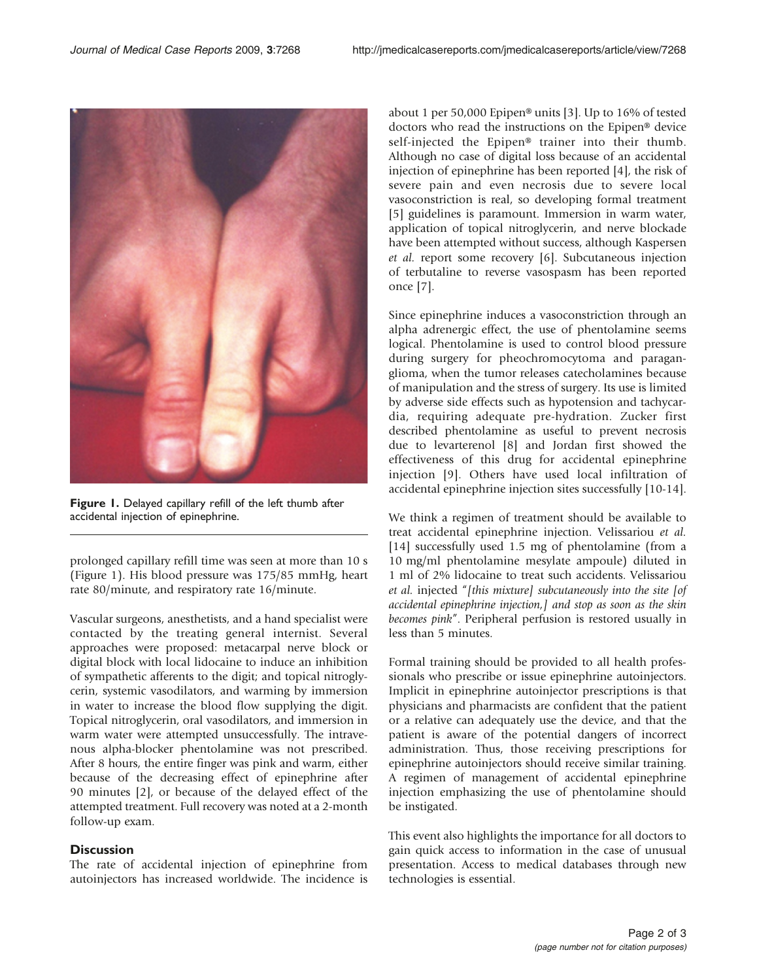

Figure 1. Delayed capillary refill of the left thumb after accidental injection of epinephrine.

prolonged capillary refill time was seen at more than 10 s (Figure 1). His blood pressure was 175/85 mmHg, heart rate 80/minute, and respiratory rate 16/minute.

Vascular surgeons, anesthetists, and a hand specialist were contacted by the treating general internist. Several approaches were proposed: metacarpal nerve block or digital block with local lidocaine to induce an inhibition of sympathetic afferents to the digit; and topical nitroglycerin, systemic vasodilators, and warming by immersion in water to increase the blood flow supplying the digit. Topical nitroglycerin, oral vasodilators, and immersion in warm water were attempted unsuccessfully. The intravenous alpha-blocker phentolamine was not prescribed. After 8 hours, the entire finger was pink and warm, either because of the decreasing effect of epinephrine after 90 minutes [\[2\]](#page-2-0), or because of the delayed effect of the attempted treatment. Full recovery was noted at a 2-month follow-up exam.

### **Discussion**

The rate of accidental injection of epinephrine from autoinjectors has increased worldwide. The incidence is about 1 per 50,000 Epipen® units [\[3\]](#page-2-0). Up to 16% of tested doctors who read the instructions on the Epipen® device self-injected the Epipen® trainer into their thumb. Although no case of digital loss because of an accidental injection of epinephrine has been reported [[4\]](#page-2-0), the risk of severe pain and even necrosis due to severe local vasoconstriction is real, so developing formal treatment [[5](#page-2-0)] guidelines is paramount. Immersion in warm water, application of topical nitroglycerin, and nerve blockade have been attempted without success, although Kaspersen et al. report some recovery [\[6](#page-2-0)]. Subcutaneous injection of terbutaline to reverse vasospasm has been reported once [[7\]](#page-2-0).

Since epinephrine induces a vasoconstriction through an alpha adrenergic effect, the use of phentolamine seems logical. Phentolamine is used to control blood pressure during surgery for pheochromocytoma and paraganglioma, when the tumor releases catecholamines because of manipulation and the stress of surgery. Its use is limited by adverse side effects such as hypotension and tachycardia, requiring adequate pre-hydration. Zucker first described phentolamine as useful to prevent necrosis due to levarterenol [\[8\]](#page-2-0) and Jordan first showed the effectiveness of this drug for accidental epinephrine injection [[9\]](#page-2-0). Others have used local infiltration of accidental epinephrine injection sites successfully [\[10-14\]](#page-2-0).

We think a regimen of treatment should be available to treat accidental epinephrine injection. Velissariou et al. [[14\]](#page-2-0) successfully used 1.5 mg of phentolamine (from a 10 mg/ml phentolamine mesylate ampoule) diluted in 1 ml of 2% lidocaine to treat such accidents. Velissariou et al. injected "[this mixture] subcutaneously into the site [of accidental epinephrine injection,] and stop as soon as the skin becomes pink". Peripheral perfusion is restored usually in less than 5 minutes.

Formal training should be provided to all health professionals who prescribe or issue epinephrine autoinjectors. Implicit in epinephrine autoinjector prescriptions is that physicians and pharmacists are confident that the patient or a relative can adequately use the device, and that the patient is aware of the potential dangers of incorrect administration. Thus, those receiving prescriptions for epinephrine autoinjectors should receive similar training. A regimen of management of accidental epinephrine injection emphasizing the use of phentolamine should be instigated.

This event also highlights the importance for all doctors to gain quick access to information in the case of unusual presentation. Access to medical databases through new technologies is essential.